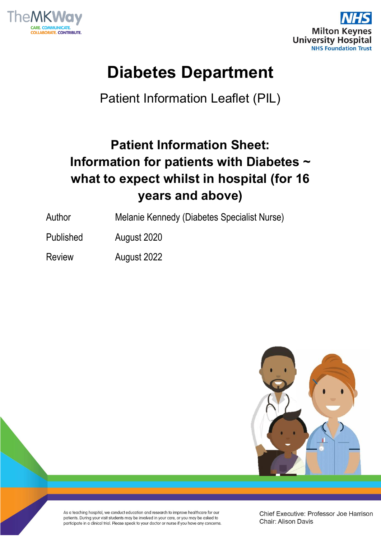



# **Diabetes Department**

Patient Information Leaflet (PIL)

# **Patient Information Sheet: Information for patients with Diabetes ~ what to expect whilst in hospital (for 16 years and above)**

- Author Melanie Kennedy (Diabetes Specialist Nurse)
- Published August 2020
- Review August 2022



As a teaching hospital, we conduct education and research to improve healthcare for our patients. During your visit students may be involved in your care, or you may be asked to participate in a clinical trial. Please speak to your doctor or nurse if you have any concerns Chief Executive: Professor Joe Harrison Chair: Alison Davis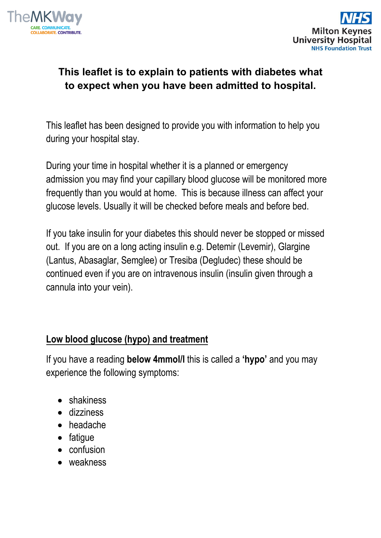



# **This leaflet is to explain to patients with diabetes what to expect when you have been admitted to hospital.**

This leaflet has been designed to provide you with information to help you during your hospital stay.

During your time in hospital whether it is a planned or emergency admission you may find your capillary blood glucose will be monitored more frequently than you would at home. This is because illness can affect your glucose levels. Usually it will be checked before meals and before bed.

If you take insulin for your diabetes this should never be stopped or missed out. If you are on a long acting insulin e.g. Detemir (Levemir), Glargine (Lantus, Abasaglar, Semglee) or Tresiba (Degludec) these should be continued even if you are on intravenous insulin (insulin given through a cannula into your vein).

# **Low blood glucose (hypo) and treatment**

If you have a reading **below 4mmol/l** this is called a **'hypo'** and you may experience the following symptoms:

- shakiness
- dizziness
- headache
- fatigue
- confusion
- weakness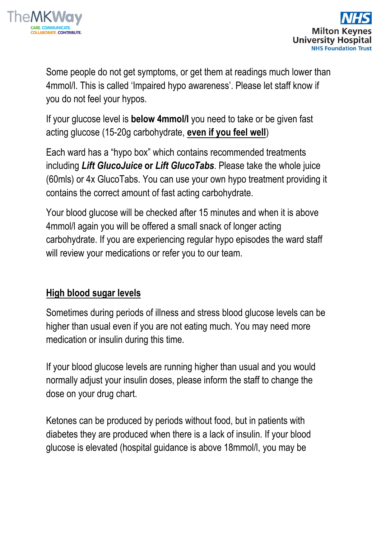



Some people do not get symptoms, or get them at readings much lower than 4mmol/l. This is called 'Impaired hypo awareness'. Please let staff know if you do not feel your hypos.

If your glucose level is **below 4mmol/l** you need to take or be given fast acting glucose (15-20g carbohydrate, **even if you feel well**)

Each ward has a "hypo box" which contains recommended treatments including *Lift GlucoJuice* **or** *Lift GlucoTabs*. Please take the whole juice (60mls) or 4x GlucoTabs. You can use your own hypo treatment providing it contains the correct amount of fast acting carbohydrate.

Your blood glucose will be checked after 15 minutes and when it is above 4mmol/l again you will be offered a small snack of longer acting carbohydrate. If you are experiencing regular hypo episodes the ward staff will review your medications or refer you to our team.

# **High blood sugar levels**

Sometimes during periods of illness and stress blood glucose levels can be higher than usual even if you are not eating much. You may need more medication or insulin during this time.

If your blood glucose levels are running higher than usual and you would normally adjust your insulin doses, please inform the staff to change the dose on your drug chart.

Ketones can be produced by periods without food, but in patients with diabetes they are produced when there is a lack of insulin. If your blood glucose is elevated (hospital guidance is above 18mmol/l, you may be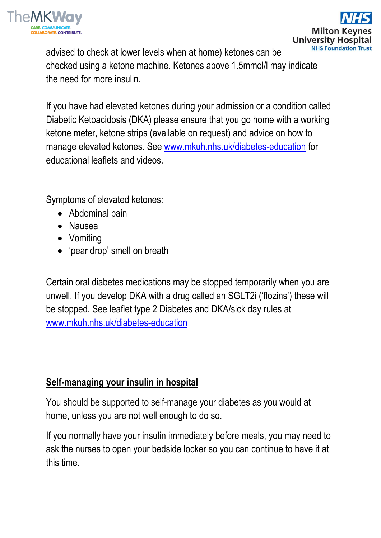

advised to check at lower levels when at home) ketones can be checked using a ketone machine. Ketones above 1.5mmol/l may indicate the need for more insulin.

If you have had elevated ketones during your admission or a condition called Diabetic Ketoacidosis (DKA) please ensure that you go home with a working ketone meter, ketone strips (available on request) and advice on how to manage elevated ketones. See [www.mkuh.nhs.uk/diabetes-education](http://www.mkuh.nhs.uk/diabetes-education) for educational leaflets and videos.

Symptoms of elevated ketones:

- Abdominal pain
- Nausea
- Vomiting
- 'pear drop' smell on breath

Certain oral diabetes medications may be stopped temporarily when you are unwell. If you develop DKA with a drug called an SGLT2i ('flozins') these will be stopped. See leaflet type 2 Diabetes and DKA/sick day rules at [www.mkuh.nhs.uk/diabetes-education](http://www.mkuh.nhs.uk/diabetes-education)

# **Self-managing your insulin in hospital**

You should be supported to self-manage your diabetes as you would at home, unless you are not well enough to do so.

If you normally have your insulin immediately before meals, you may need to ask the nurses to open your bedside locker so you can continue to have it at this time.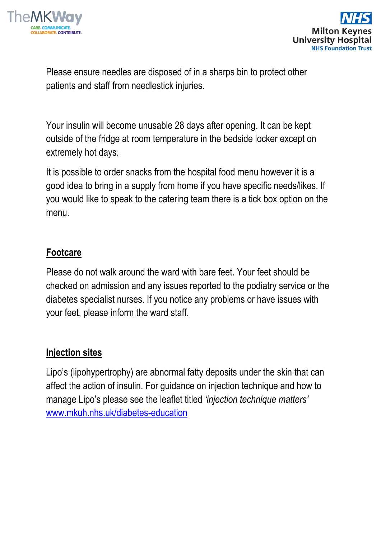



Please ensure needles are disposed of in a sharps bin to protect other patients and staff from needlestick injuries.

Your insulin will become unusable 28 days after opening. It can be kept outside of the fridge at room temperature in the bedside locker except on extremely hot days.

It is possible to order snacks from the hospital food menu however it is a good idea to bring in a supply from home if you have specific needs/likes. If you would like to speak to the catering team there is a tick box option on the menu.

### **Footcare**

Please do not walk around the ward with bare feet. Your feet should be checked on admission and any issues reported to the podiatry service or the diabetes specialist nurses. If you notice any problems or have issues with your feet, please inform the ward staff.

#### **Injection sites**

Lipo's (lipohypertrophy) are abnormal fatty deposits under the skin that can affect the action of insulin. For guidance on injection technique and how to manage Lipo's please see the leaflet titled *'injection technique matters'* [www.mkuh.nhs.uk/diabetes-education](http://www.mkuh.nhs.uk/diabetes-education)